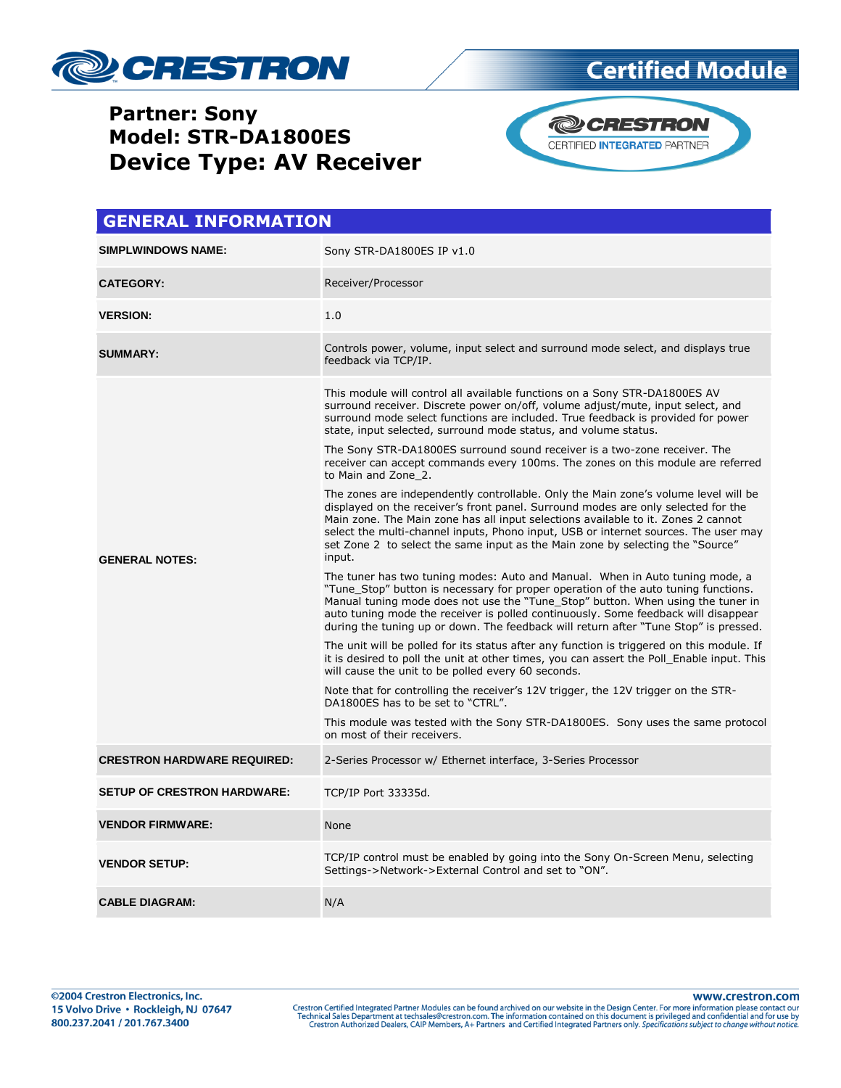



CERTIFIED INTEGRATED PARTNER

| <b>GENERAL INFORMATION</b>         |                                                                                                                                                                                                                                                                                                                                                                                                                                                  |  |  |
|------------------------------------|--------------------------------------------------------------------------------------------------------------------------------------------------------------------------------------------------------------------------------------------------------------------------------------------------------------------------------------------------------------------------------------------------------------------------------------------------|--|--|
| SIMPLWINDOWS NAME:                 | Sony STR-DA1800ES IP v1.0                                                                                                                                                                                                                                                                                                                                                                                                                        |  |  |
| <b>CATEGORY:</b>                   | Receiver/Processor                                                                                                                                                                                                                                                                                                                                                                                                                               |  |  |
| <b>VERSION:</b>                    | 1.0                                                                                                                                                                                                                                                                                                                                                                                                                                              |  |  |
| <b>SUMMARY:</b>                    | Controls power, volume, input select and surround mode select, and displays true<br>feedback via TCP/IP.                                                                                                                                                                                                                                                                                                                                         |  |  |
| <b>GENERAL NOTES:</b>              | This module will control all available functions on a Sony STR-DA1800ES AV<br>surround receiver. Discrete power on/off, volume adjust/mute, input select, and<br>surround mode select functions are included. True feedback is provided for power<br>state, input selected, surround mode status, and volume status.                                                                                                                             |  |  |
|                                    | The Sony STR-DA1800ES surround sound receiver is a two-zone receiver. The<br>receiver can accept commands every 100ms. The zones on this module are referred<br>to Main and Zone 2.                                                                                                                                                                                                                                                              |  |  |
|                                    | The zones are independently controllable. Only the Main zone's volume level will be<br>displayed on the receiver's front panel. Surround modes are only selected for the<br>Main zone. The Main zone has all input selections available to it. Zones 2 cannot<br>select the multi-channel inputs, Phono input, USB or internet sources. The user may<br>set Zone 2 to select the same input as the Main zone by selecting the "Source"<br>input. |  |  |
|                                    | The tuner has two tuning modes: Auto and Manual. When in Auto tuning mode, a<br>"Tune Stop" button is necessary for proper operation of the auto tuning functions.<br>Manual tuning mode does not use the "Tune Stop" button. When using the tuner in<br>auto tuning mode the receiver is polled continuously. Some feedback will disappear<br>during the tuning up or down. The feedback will return after "Tune Stop" is pressed.              |  |  |
|                                    | The unit will be polled for its status after any function is triggered on this module. If<br>it is desired to poll the unit at other times, you can assert the Poll Enable input. This<br>will cause the unit to be polled every 60 seconds.                                                                                                                                                                                                     |  |  |
|                                    | Note that for controlling the receiver's 12V trigger, the 12V trigger on the STR-<br>DA1800ES has to be set to "CTRL".                                                                                                                                                                                                                                                                                                                           |  |  |
|                                    | This module was tested with the Sony STR-DA1800ES. Sony uses the same protocol<br>on most of their receivers.                                                                                                                                                                                                                                                                                                                                    |  |  |
| <b>CRESTRON HARDWARE REQUIRED:</b> | 2-Series Processor w/ Ethernet interface, 3-Series Processor                                                                                                                                                                                                                                                                                                                                                                                     |  |  |
| <b>SETUP OF CRESTRON HARDWARE:</b> | TCP/IP Port 33335d.                                                                                                                                                                                                                                                                                                                                                                                                                              |  |  |
| <b>VENDOR FIRMWARE:</b>            | None                                                                                                                                                                                                                                                                                                                                                                                                                                             |  |  |
| <b>VENDOR SETUP:</b>               | TCP/IP control must be enabled by going into the Sony On-Screen Menu, selecting<br>Settings->Network->External Control and set to "ON".                                                                                                                                                                                                                                                                                                          |  |  |
| <b>CABLE DIAGRAM:</b>              | N/A                                                                                                                                                                                                                                                                                                                                                                                                                                              |  |  |

www.crestron.com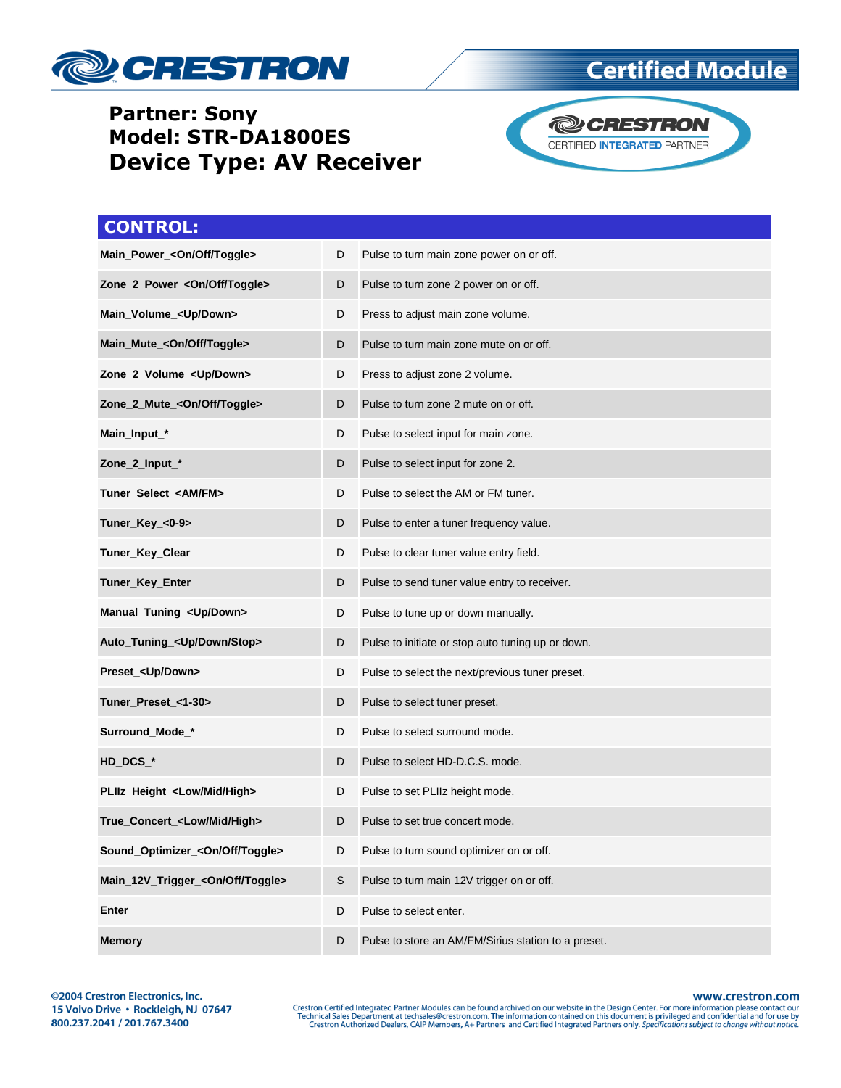





| <b>CONTROL:</b>                              |   |                                                     |
|----------------------------------------------|---|-----------------------------------------------------|
| Main_Power_ <on off="" toggle=""></on>       | D | Pulse to turn main zone power on or off.            |
| Zone_2_Power_ <on off="" toggle=""></on>     | D | Pulse to turn zone 2 power on or off.               |
| Main_Volume_ <up down=""></up>               | D | Press to adjust main zone volume.                   |
| Main_Mute_ <on off="" toggle=""></on>        | D | Pulse to turn main zone mute on or off.             |
| Zone_2_Volume_ <up down=""></up>             | D | Press to adjust zone 2 volume.                      |
| Zone_2_Mute_ <on off="" toggle=""></on>      | D | Pulse to turn zone 2 mute on or off.                |
| Main_Input_*                                 | D | Pulse to select input for main zone.                |
| Zone_2_Input_*                               | D | Pulse to select input for zone 2.                   |
| Tuner_Select_ <am fm=""></am>                | D | Pulse to select the AM or FM tuner.                 |
| Tuner_Key_<0-9>                              | D | Pulse to enter a tuner frequency value.             |
| Tuner_Key_Clear                              | D | Pulse to clear tuner value entry field.             |
| Tuner_Key_Enter                              | D | Pulse to send tuner value entry to receiver.        |
| Manual_Tuning_ <up down=""></up>             | D | Pulse to tune up or down manually.                  |
| Auto_Tuning_ <up down="" stop=""></up>       | D | Pulse to initiate or stop auto tuning up or down.   |
| Preset_ <up down=""></up>                    | D | Pulse to select the next/previous tuner preset.     |
| Tuner_Preset_<1-30>                          | D | Pulse to select tuner preset.                       |
| Surround_Mode_*                              | D | Pulse to select surround mode.                      |
| HD_DCS_*                                     | D | Pulse to select HD-D.C.S. mode.                     |
| PLIIz_Height_ <low high="" mid=""></low>     | D | Pulse to set PLIIz height mode.                     |
| True_Concert_ <low high="" mid=""></low>     | D | Pulse to set true concert mode.                     |
| Sound_Optimizer_ <on off="" toggle=""></on>  | D | Pulse to turn sound optimizer on or off.            |
| Main_12V_Trigger_ <on off="" toggle=""></on> | S | Pulse to turn main 12V trigger on or off.           |
| Enter                                        | D | Pulse to select enter.                              |
| <b>Memory</b>                                | D | Pulse to store an AM/FM/Sirius station to a preset. |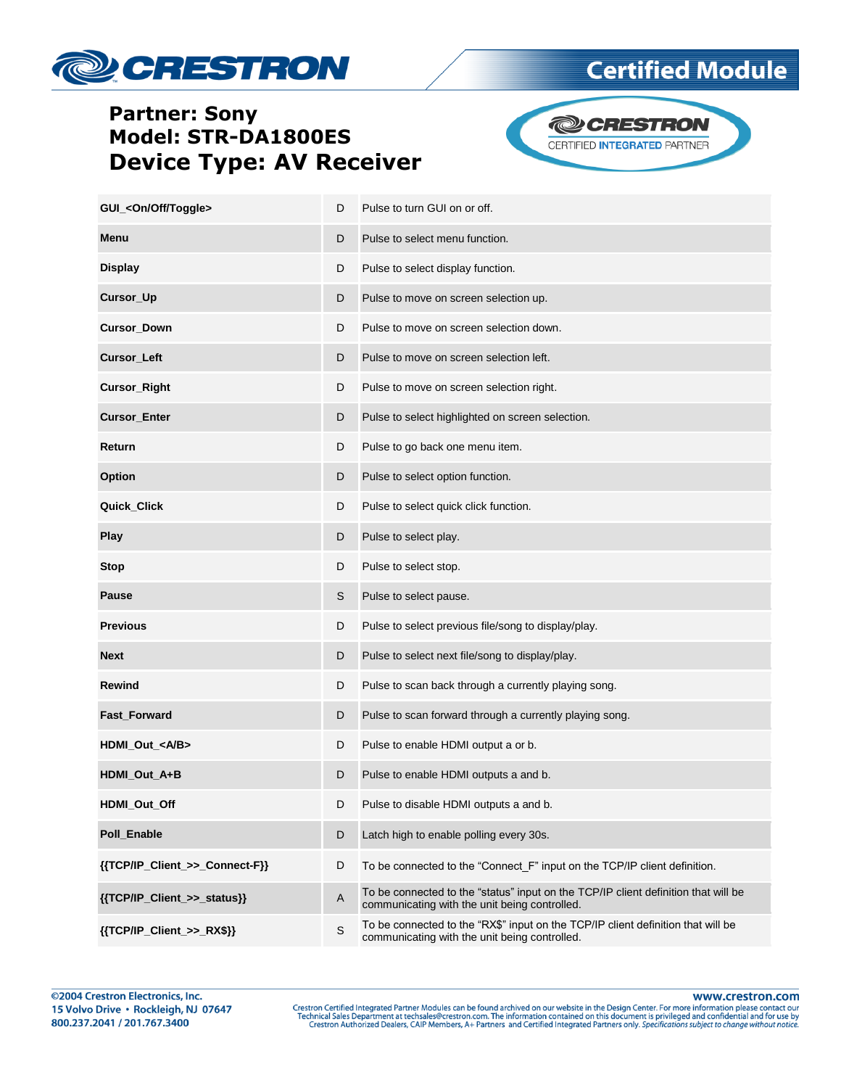



**Certified Module** 

| GUI_ <on off="" toggle=""></on> | D | Pulse to turn GUI on or off.                                                                                                        |
|---------------------------------|---|-------------------------------------------------------------------------------------------------------------------------------------|
| Menu                            | D | Pulse to select menu function.                                                                                                      |
| <b>Display</b>                  | D | Pulse to select display function.                                                                                                   |
| Cursor_Up                       | D | Pulse to move on screen selection up.                                                                                               |
| <b>Cursor_Down</b>              | D | Pulse to move on screen selection down.                                                                                             |
| Cursor_Left                     | D | Pulse to move on screen selection left.                                                                                             |
| Cursor_Right                    | D | Pulse to move on screen selection right.                                                                                            |
| <b>Cursor_Enter</b>             | D | Pulse to select highlighted on screen selection.                                                                                    |
| Return                          | D | Pulse to go back one menu item.                                                                                                     |
| Option                          | D | Pulse to select option function.                                                                                                    |
| <b>Quick Click</b>              | D | Pulse to select quick click function.                                                                                               |
| <b>Play</b>                     | D | Pulse to select play.                                                                                                               |
| <b>Stop</b>                     | D | Pulse to select stop.                                                                                                               |
| <b>Pause</b>                    | S | Pulse to select pause.                                                                                                              |
| <b>Previous</b>                 | D | Pulse to select previous file/song to display/play.                                                                                 |
| <b>Next</b>                     | D | Pulse to select next file/song to display/play.                                                                                     |
| <b>Rewind</b>                   | D | Pulse to scan back through a currently playing song.                                                                                |
| Fast_Forward                    | D | Pulse to scan forward through a currently playing song.                                                                             |
| HDMI_Out_ <a b=""></a>          | D | Pulse to enable HDMI output a or b.                                                                                                 |
| HDMI_Out_A+B                    | D | Pulse to enable HDMI outputs a and b.                                                                                               |
| HDMI_Out_Off                    | D | Pulse to disable HDMI outputs a and b.                                                                                              |
| Poll_Enable                     | D | Latch high to enable polling every 30s.                                                                                             |
| {{TCP/IP_Client_>>_Connect-F}}  | D | To be connected to the "Connect_F" input on the TCP/IP client definition.                                                           |
| {{TCP/IP_Client_>>_status}}     | A | To be connected to the "status" input on the TCP/IP client definition that will be<br>communicating with the unit being controlled. |
| {{TCP/IP_Client_>>_RX\$}}       | S | To be connected to the "RX\$" input on the TCP/IP client definition that will be<br>communicating with the unit being controlled.   |

www.crestron.com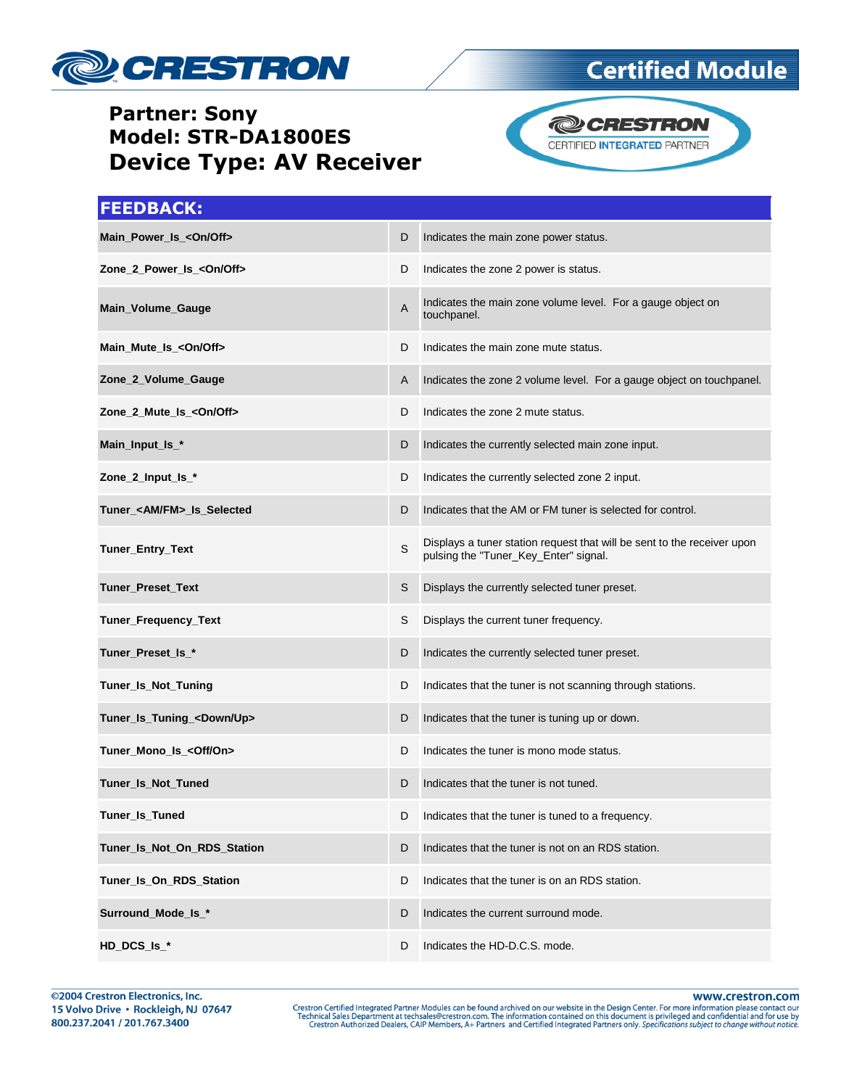



**Certified Module** 

#### **FEEDBACK:**

| Main_Power_Is_ <on off=""></on>      | D | Indicates the main zone power status.                                                                            |
|--------------------------------------|---|------------------------------------------------------------------------------------------------------------------|
| Zone_2_Power_Is_ <on off=""></on>    | D | Indicates the zone 2 power is status.                                                                            |
| Main_Volume_Gauge                    | Α | Indicates the main zone volume level. For a gauge object on<br>touchpanel.                                       |
| Main_Mute_Is_ <on off=""></on>       | D | Indicates the main zone mute status.                                                                             |
| Zone_2_Volume_Gauge                  | Α | Indicates the zone 2 volume level. For a gauge object on touchpanel.                                             |
| Zone_2_Mute_Is_ <on off=""></on>     | D | Indicates the zone 2 mute status.                                                                                |
| Main_Input_Is_*                      | D | Indicates the currently selected main zone input.                                                                |
| Zone_2_Input_Is_*                    | D | Indicates the currently selected zone 2 input.                                                                   |
| Tuner_ <am fm="">_Is_Selected</am>   | D | Indicates that the AM or FM tuner is selected for control.                                                       |
| Tuner_Entry_Text                     | S | Displays a tuner station request that will be sent to the receiver upon<br>pulsing the "Tuner_Key_Enter" signal. |
| Tuner_Preset_Text                    | S | Displays the currently selected tuner preset.                                                                    |
| Tuner_Frequency_Text                 | S | Displays the current tuner frequency.                                                                            |
| Tuner_Preset_Is_*                    | D | Indicates the currently selected tuner preset.                                                                   |
| Tuner_Is_Not_Tuning                  | D | Indicates that the tuner is not scanning through stations.                                                       |
| Tuner_Is_Tuning_ <down up=""></down> | D | Indicates that the tuner is tuning up or down.                                                                   |
| Tuner_Mono_Is_ <off on=""></off>     | D | Indicates the tuner is mono mode status.                                                                         |
| Tuner_Is_Not_Tuned                   | D | Indicates that the tuner is not tuned.                                                                           |
| Tuner_Is_Tuned                       | D | Indicates that the tuner is tuned to a frequency.                                                                |
| Tuner_Is_Not_On_RDS_Station          | D | Indicates that the tuner is not on an RDS station.                                                               |
| Tuner_Is_On_RDS_Station              | D | Indicates that the tuner is on an RDS station.                                                                   |
| Surround_Mode_Is_*                   | D | Indicates the current surround mode.                                                                             |
| HD_DCS_Is_*                          | D | Indicates the HD-D.C.S. mode.                                                                                    |

www.crestron.com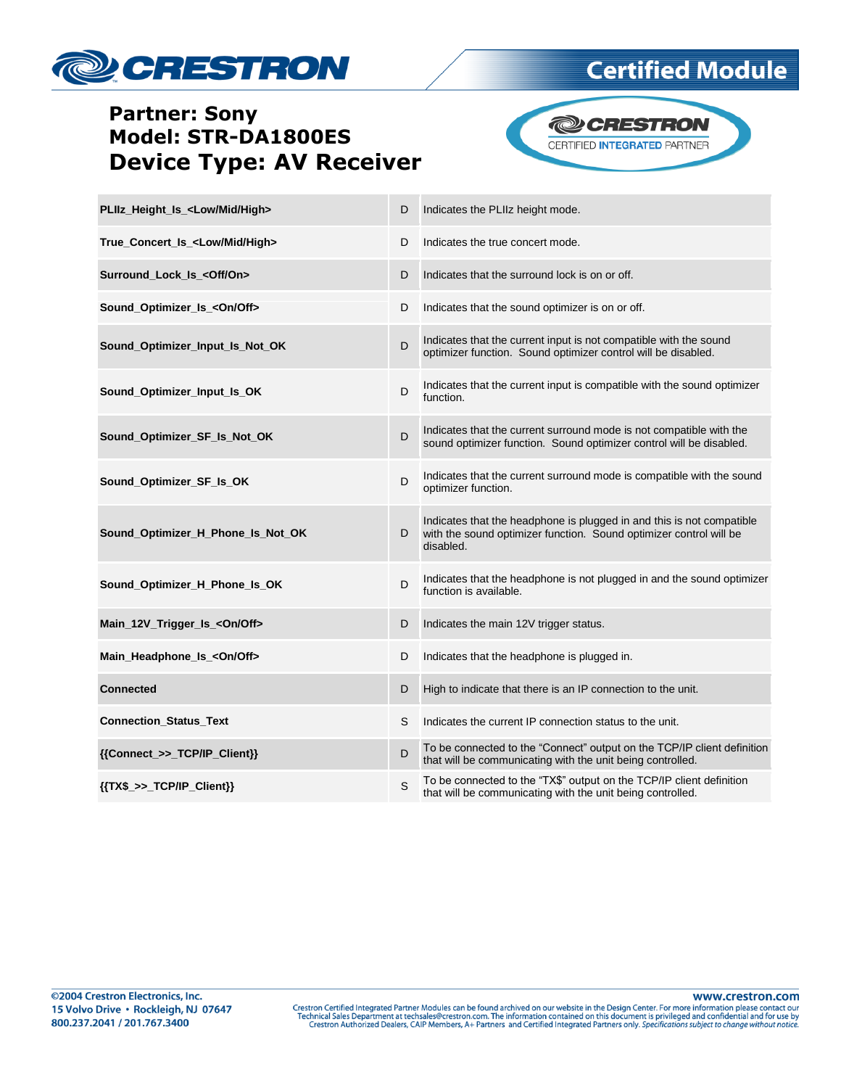

# **Certified Module**

# **Partner: Sony** Model: STR-DA1800ES **Device Type: AV Receiver**



| PLIIz_Height_Is_ <low high="" mid=""></low> | D | Indicates the PLIIz height mode.                                                                                                                         |
|---------------------------------------------|---|----------------------------------------------------------------------------------------------------------------------------------------------------------|
| True_Concert_Is_ <low high="" mid=""></low> | D | Indicates the true concert mode.                                                                                                                         |
| Surround_Lock_Is_ <off on=""></off>         | D | Indicates that the surround lock is on or off.                                                                                                           |
| Sound_Optimizer_Is_ <on off=""></on>        | D | Indicates that the sound optimizer is on or off.                                                                                                         |
| Sound_Optimizer_Input_Is_Not_OK             | D | Indicates that the current input is not compatible with the sound<br>optimizer function. Sound optimizer control will be disabled.                       |
| Sound_Optimizer_Input_Is_OK                 | D | Indicates that the current input is compatible with the sound optimizer<br>function.                                                                     |
| Sound_Optimizer_SF_Is_Not_OK                | D | Indicates that the current surround mode is not compatible with the<br>sound optimizer function. Sound optimizer control will be disabled.               |
| Sound_Optimizer_SF_Is_OK                    | D | Indicates that the current surround mode is compatible with the sound<br>optimizer function.                                                             |
| Sound_Optimizer_H_Phone_Is_Not_OK           | D | Indicates that the headphone is plugged in and this is not compatible<br>with the sound optimizer function. Sound optimizer control will be<br>disabled. |
| Sound_Optimizer_H_Phone_Is_OK               | D | Indicates that the headphone is not plugged in and the sound optimizer<br>function is available.                                                         |
| Main_12V_Trigger_Is_ <on off=""></on>       | D | Indicates the main 12V trigger status.                                                                                                                   |
| Main_Headphone_Is_ <on off=""></on>         | D | Indicates that the headphone is plugged in.                                                                                                              |
| <b>Connected</b>                            | D | High to indicate that there is an IP connection to the unit.                                                                                             |
| <b>Connection Status Text</b>               | S | Indicates the current IP connection status to the unit.                                                                                                  |
| {{Connect_>>_TCP/IP_Client}}                | D | To be connected to the "Connect" output on the TCP/IP client definition<br>that will be communicating with the unit being controlled.                    |
| ${TXX$ > > TCP/IP_Clien}\$                  | S | To be connected to the "TX\$" output on the TCP/IP client definition<br>that will be communicating with the unit being controlled.                       |

www.crestron.com